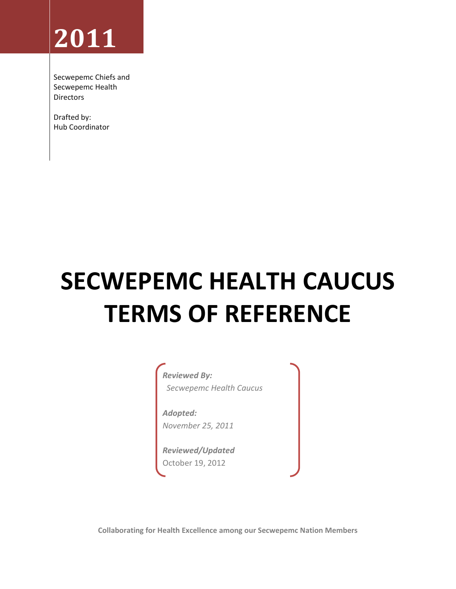# **2011**

Secwepemc Chiefs and Secwepemc Health Directors

Drafted by: Hub Coordinator

# **SECWEPEMC HEALTH CAUCUS TERMS OF REFERENCE**

*Reviewed By: Secwepemc Health Caucus* 

*Adopted: November 25, 2011*

*Reviewed/Updated* October 19, 2012

**Collaborating for Health Excellence among our Secwepemc Nation Members**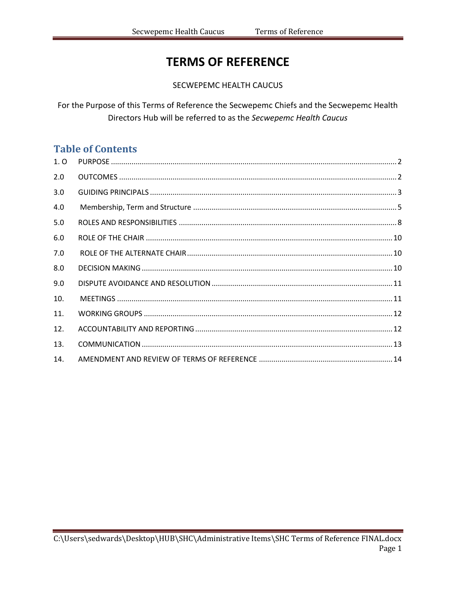## **TERMS OF REFERENCE**

SECWEPEMC HEALTH CAUCUS

For the Purpose of this Terms of Reference the Secwepemc Chiefs and the Secwepemc Health Directors Hub will be referred to as the Secwepemc Health Caucus

## **Table of Contents**

| 1, 0 |  |
|------|--|
| 2.0  |  |
| 3.0  |  |
| 4.0  |  |
| 5.0  |  |
| 6.0  |  |
| 7.0  |  |
| 8.0  |  |
| 9.0  |  |
| 10.  |  |
| 11.  |  |
| 12.  |  |
| 13.  |  |
| 14.  |  |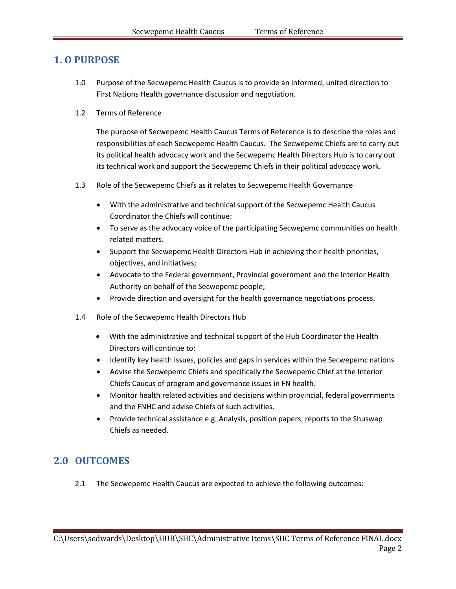## <span id="page-2-0"></span>**1. O PURPOSE**

- 1.0 Purpose of the Secwepemc Health Caucus is to provide an informed, united direction to First Nations Health governance discussion and negotiation.
- 1.2 Terms of Reference

The purpose of Secwepemc Health Caucus Terms of Reference is to describe the roles and responsibilities of each Secwepemc Health Caucus. The Secwepemc Chiefs are to carry out its political health advocacy work and the Secwepemc Health Directors Hub is to carry out its technical work and support the Secwepemc Chiefs in their political advocacy work.

- 1.3 Role of the Secwepemc Chiefs as it relates to Secwepemc Health Governance
	- With the administrative and technical support of the Secwepemc Health Caucus Coordinator the Chiefs will continue:
	- To serve as the advocacy voice of the participating Secwepemc communities on health related matters.
	- Support the Secwepemc Health Directors Hub in achieving their health priorities, objectives, and initiatives;
	- Advocate to the Federal government, Provincial government and the Interior Health Authority on behalf of the Secwepemc people;
	- Provide direction and oversight for the health governance negotiations process.
- 1.4 Role of the Secwepemc Health Directors Hub
	- With the administrative and technical support of the Hub Coordinator the Health Directors will continue to:
	- Identify key health issues, policies and gaps in services within the Secwepemc nations
	- Advise the Secwepemc Chiefs and specifically the Secwepemc Chief at the Interior Chiefs Caucus of program and governance issues in FN health.
	- Monitor health related activities and decisions within provincial, federal governments and the FNHC and advise Chiefs of such activities.
	- Provide technical assistance e.g. Analysis, position papers, reports to the Shuswap Chiefs as needed.

## <span id="page-2-1"></span>**2.0 OUTCOMES**

2.1 The Secwepemc Health Caucus are expected to achieve the following outcomes: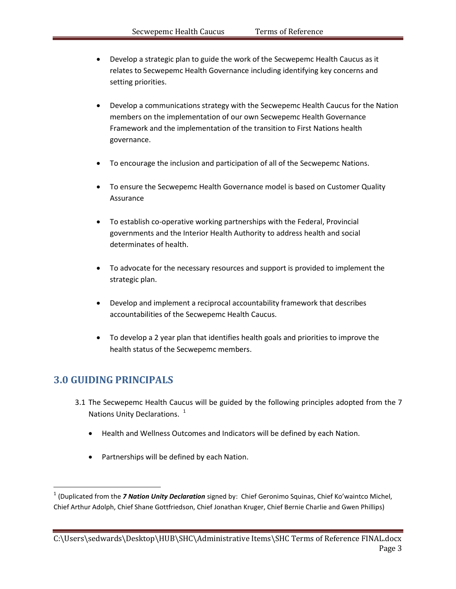- Develop a strategic plan to guide the work of the Secwepemc Health Caucus as it relates to Secwepemc Health Governance including identifying key concerns and setting priorities.
- Develop a communications strategy with the Secwepemc Health Caucus for the Nation members on the implementation of our own Secwepemc Health Governance Framework and the implementation of the transition to First Nations health governance.
- To encourage the inclusion and participation of all of the Secwepemc Nations.
- To ensure the Secwepemc Health Governance model is based on Customer Quality Assurance
- To establish co-operative working partnerships with the Federal, Provincial governments and the Interior Health Authority to address health and social determinates of health.
- To advocate for the necessary resources and support is provided to implement the strategic plan.
- Develop and implement a reciprocal accountability framework that describes accountabilities of the Secwepemc Health Caucus.
- To develop a 2 year plan that identifies health goals and priorities to improve the health status of the Secwepemc members.

## <span id="page-3-0"></span>**3.0 GUIDING PRINCIPALS**

l

- 3.1 The Secwepemc Health Caucus will be guided by the following principles adopted from the 7 Nations Unity Declarations.<sup>1</sup>
	- Health and Wellness Outcomes and Indicators will be defined by each Nation.
	- Partnerships will be defined by each Nation.

<sup>&</sup>lt;sup>1</sup> (Duplicated from the *7 Nation Unity Declaration* signed by: Chief Geronimo Squinas, Chief Ko'waintco Michel, Chief Arthur Adolph, Chief Shane Gottfriedson, Chief Jonathan Kruger, Chief Bernie Charlie and Gwen Phillips)

C:\Users\sedwards\Desktop\HUB\SHC\Administrative Items\SHC Terms of Reference FINAL.docx Page 3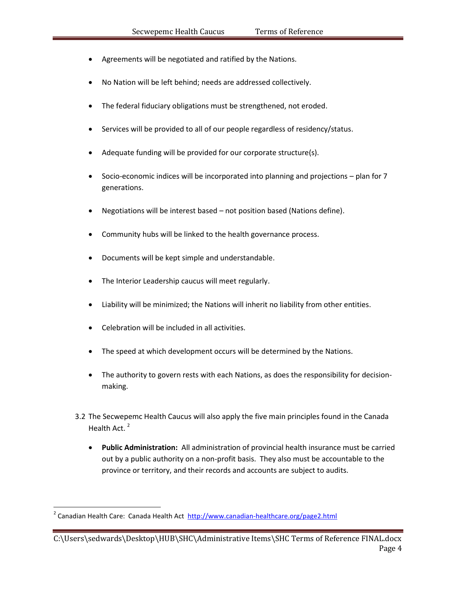- Agreements will be negotiated and ratified by the Nations.
- No Nation will be left behind; needs are addressed collectively.
- The federal fiduciary obligations must be strengthened, not eroded.
- Services will be provided to all of our people regardless of residency/status.
- Adequate funding will be provided for our corporate structure(s).
- Socio-economic indices will be incorporated into planning and projections plan for 7 generations.
- Negotiations will be interest based not position based (Nations define).
- Community hubs will be linked to the health governance process.
- Documents will be kept simple and understandable.
- The Interior Leadership caucus will meet regularly.
- Liability will be minimized; the Nations will inherit no liability from other entities.
- Celebration will be included in all activities.
- The speed at which development occurs will be determined by the Nations.
- The authority to govern rests with each Nations, as does the responsibility for decisionmaking.
- 3.2 The Secwepemc Health Caucus will also apply the five main principles found in the Canada Health Act.<sup>2</sup>
	- **Public Administration:** All administration of provincial health insurance must be carried out by a public authority on a non-profit basis. They also must be accountable to the province or territory, and their records and accounts are subject to audits.

 $\overline{\phantom{a}}$ 

<sup>&</sup>lt;sup>2</sup> Canadian Health Care: Canada Health Act <http://www.canadian-healthcare.org/page2.html>

C:\Users\sedwards\Desktop\HUB\SHC\Administrative Items\SHC Terms of Reference FINAL.docx Page 4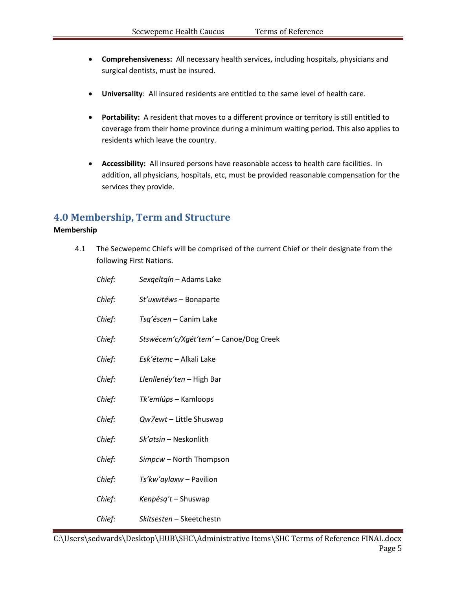- Comprehensiveness: All necessary health services, including hospitals, physicians and  $\bullet$ surgical dentists, must be insured.
- Universality: All insured residents are entitled to the same level of health care.
- Portability: A resident that moves to a different province or territory is still entitled to  $\bullet$ coverage from their home province during a minimum waiting period. This also applies to residents which leave the country.
- Accessibility: All insured persons have reasonable access to health care facilities. In  $\bullet$ addition, all physicians, hospitals, etc, must be provided reasonable compensation for the services they provide.

## <span id="page-5-0"></span>**4.0 Membership, Term and Structure**

### Membership

 $4.1$ The Secwepemc Chiefs will be comprised of the current Chief or their designate from the following First Nations.

| Chief: | Sexqeltqín - Adams Lake                |
|--------|----------------------------------------|
| Chief: | St'uxwtéws - Bonaparte                 |
| Chief: | Tsq'éscen – Canim Lake                 |
| Chief: | Stswécem'c/Xgét'tem' - Canoe/Dog Creek |
| Chief: | Esk'étemc - Alkali Lake                |
| Chief: | Llenllenéy'ten – High Bar              |
| Chief: | Tk'emlúps – Kamloops                   |
| Chief: | Qw7ewt - Little Shuswap                |
| Chief: | Sk'atsin - Neskonlith                  |
| Chief: | Simpcw - North Thompson                |
| Chief: | Ts'kw'aylaxw - Pavilion                |
| Chief: | Kenpésq't – Shuswap                    |
| Chief: | Skítsesten - Skeetchestn               |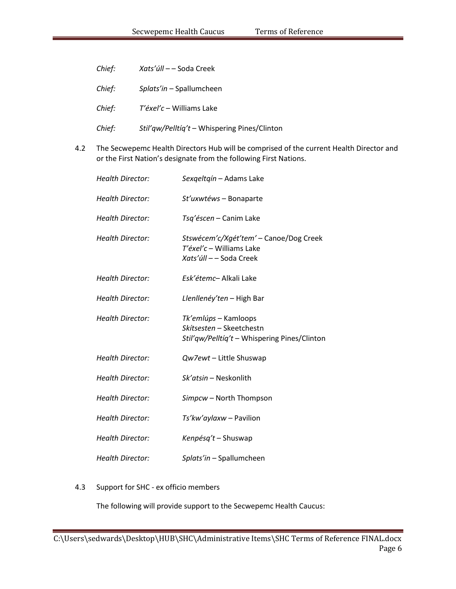| Chief: | Xats'úll – – Soda Creek                      |
|--------|----------------------------------------------|
| Chief: | Splats'in – Spallumcheen                     |
| Chief: | <i>T'éxel'c</i> – Williams Lake              |
| Chief: | Stil'qw/Pelltiq't - Whispering Pines/Clinton |

The Secwepemc Health Directors Hub will be comprised of the current Health Director and  $4.2$ or the First Nation's designate from the following First Nations.

| <b>Health Director:</b> | Sexgeltgín – Adams Lake                                                                          |
|-------------------------|--------------------------------------------------------------------------------------------------|
| <b>Health Director:</b> | St'uxwtéws - Bonaparte                                                                           |
| <b>Health Director:</b> | Tsg'éscen - Canim Lake                                                                           |
| <b>Health Director:</b> | Stswécem'c/Xgét'tem' - Canoe/Dog Creek<br>T'éxel'c - Williams Lake<br>Xats'úll -- Soda Creek     |
| <b>Health Director:</b> | Esk'étemc- Alkali Lake                                                                           |
| <b>Health Director:</b> | Llenllenéy'ten – High Bar                                                                        |
| <b>Health Director:</b> | Tk'emlúps – Kamloops<br>Skítsesten - Skeetchestn<br>Stil'qw/Pelltíq't - Whispering Pines/Clinton |
| <b>Health Director:</b> | Qw7ewt - Little Shuswap                                                                          |
| <b>Health Director:</b> | Sk'atsin - Neskonlith                                                                            |
| <b>Health Director:</b> | Simpcw - North Thompson                                                                          |
| <b>Health Director:</b> | Ts'kw'aylaxw - Pavilion                                                                          |
| <b>Health Director:</b> | Kenpésg't – Shuswap                                                                              |
| <b>Health Director:</b> | Splats'in - Spallumcheen                                                                         |

#### Support for SHC - ex officio members  $4.3$

The following will provide support to the Secwepemc Health Caucus: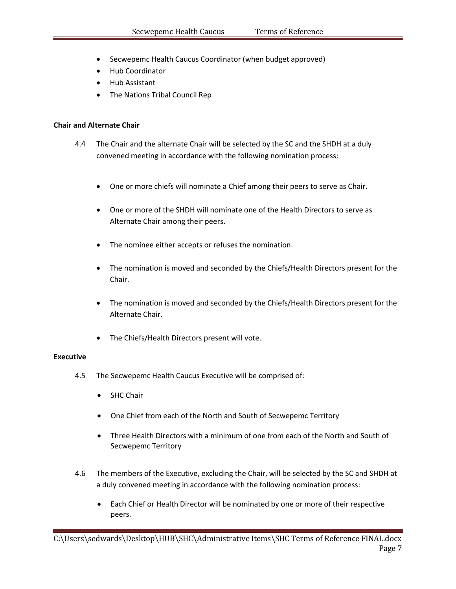- Secwepemc Health Caucus Coordinator (when budget approved)
- Hub Coordinator
- Hub Assistant
- The Nations Tribal Council Rep

#### **Chair and Alternate Chair**

- 4.4 The Chair and the alternate Chair will be selected by the SC and the SHDH at a duly convened meeting in accordance with the following nomination process:
	- One or more chiefs will nominate a Chief among their peers to serve as Chair.
	- One or more of the SHDH will nominate one of the Health Directors to serve as Alternate Chair among their peers.
	- The nominee either accepts or refuses the nomination.
	- The nomination is moved and seconded by the Chiefs/Health Directors present for the Chair.
	- The nomination is moved and seconded by the Chiefs/Health Directors present for the Alternate Chair.
	- The Chiefs/Health Directors present will vote.

#### **Executive**

- 4.5 The Secwepemc Health Caucus Executive will be comprised of:
	- SHC Chair
	- One Chief from each of the North and South of Secwepemc Territory
	- Three Health Directors with a minimum of one from each of the North and South of Secwepemc Territory
- 4.6 The members of the Executive, excluding the Chair, will be selected by the SC and SHDH at a duly convened meeting in accordance with the following nomination process:
	- Each Chief or Health Director will be nominated by one or more of their respective peers.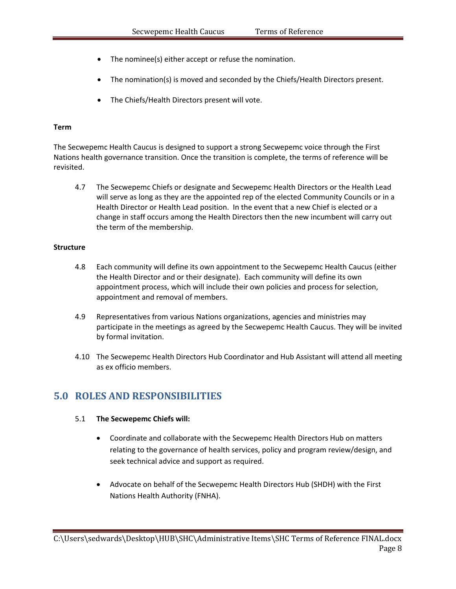- The nominee(s) either accept or refuse the nomination.
- The nomination(s) is moved and seconded by the Chiefs/Health Directors present.
- The Chiefs/Health Directors present will vote.

### **Term**

The Secwepemc Health Caucus is designed to support a strong Secwepemc voice through the First Nations health governance transition. Once the transition is complete, the terms of reference will be revisited.

4.7 The Secwepemc Chiefs or designate and Secwepemc Health Directors or the Health Lead will serve as long as they are the appointed rep of the elected Community Councils or in a Health Director or Health Lead position. In the event that a new Chief is elected or a change in staff occurs among the Health Directors then the new incumbent will carry out the term of the membership.

#### **Structure**

- 4.8 Each community will define its own appointment to the Secwepemc Health Caucus (either the Health Director and or their designate). Each community will define its own appointment process, which will include their own policies and process for selection, appointment and removal of members.
- 4.9 Representatives from various Nations organizations, agencies and ministries may participate in the meetings as agreed by the Secwepemc Health Caucus. They will be invited by formal invitation.
- 4.10 The Secwepemc Health Directors Hub Coordinator and Hub Assistant will attend all meeting as ex officio members.

## <span id="page-8-0"></span>**5.0 ROLES AND RESPONSIBILITIES**

### 5.1 **The Secwepemc Chiefs will:**

- Coordinate and collaborate with the Secwepemc Health Directors Hub on matters relating to the governance of health services, policy and program review/design, and seek technical advice and support as required.
- Advocate on behalf of the Secwepemc Health Directors Hub (SHDH) with the First Nations Health Authority (FNHA).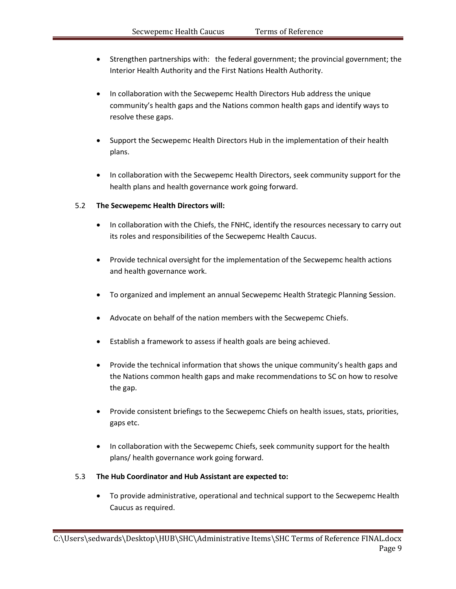- Strengthen partnerships with: the federal government; the provincial government; the Interior Health Authority and the First Nations Health Authority.
- In collaboration with the Secwepemc Health Directors Hub address the unique community's health gaps and the Nations common health gaps and identify ways to resolve these gaps.
- Support the Secwepemc Health Directors Hub in the implementation of their health plans.
- In collaboration with the Secwepemc Health Directors, seek community support for the health plans and health governance work going forward.

### 5.2 **The Secwepemc Health Directors will:**

- In collaboration with the Chiefs, the FNHC, identify the resources necessary to carry out its roles and responsibilities of the Secwepemc Health Caucus.
- Provide technical oversight for the implementation of the Secwepemc health actions and health governance work.
- To organized and implement an annual Secwepemc Health Strategic Planning Session.
- Advocate on behalf of the nation members with the Secwepemc Chiefs.
- Establish a framework to assess if health goals are being achieved.
- Provide the technical information that shows the unique community's health gaps and the Nations common health gaps and make recommendations to SC on how to resolve the gap.
- Provide consistent briefings to the Secwepemc Chiefs on health issues, stats, priorities, gaps etc.
- In collaboration with the Secwepemc Chiefs, seek community support for the health plans/ health governance work going forward.

### 5.3 **The Hub Coordinator and Hub Assistant are expected to:**

 To provide administrative, operational and technical support to the Secwepemc Health Caucus as required.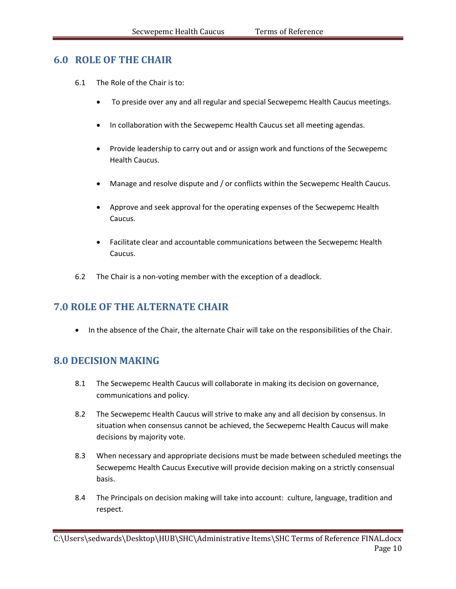## <span id="page-10-0"></span>**6.0 ROLE OF THE CHAIR**

- 6.1 The Role of the Chair is to:
	- To preside over any and all regular and special Secwepemc Health Caucus meetings.
	- In collaboration with the Secwepemc Health Caucus set all meeting agendas.
	- Provide leadership to carry out and or assign work and functions of the Secwepemc Health Caucus.
	- Manage and resolve dispute and / or conflicts within the Secwepemc Health Caucus.
	- Approve and seek approval for the operating expenses of the Secwepemc Health Caucus.
	- Facilitate clear and accountable communications between the Secwepemc Health Caucus.
- 6.2 The Chair is a non-voting member with the exception of a deadlock.

## <span id="page-10-1"></span>**7.0 ROLE OF THE ALTERNATE CHAIR**

• In the absence of the Chair, the alternate Chair will take on the responsibilities of the Chair.

## <span id="page-10-2"></span>**8.0 DECISION MAKING**

- 8.1 The Secwepemc Health Caucus will collaborate in making its decision on governance, communications and policy.
- 8.2 The Secwepemc Health Caucus will strive to make any and all decision by consensus. In situation when consensus cannot be achieved, the Secwepemc Health Caucus will make decisions by majority vote.
- 8.3 When necessary and appropriate decisions must be made between scheduled meetings the Secwepemc Health Caucus Executive will provide decision making on a strictly consensual basis.
- 8.4 The Principals on decision making will take into account: culture, language, tradition and respect.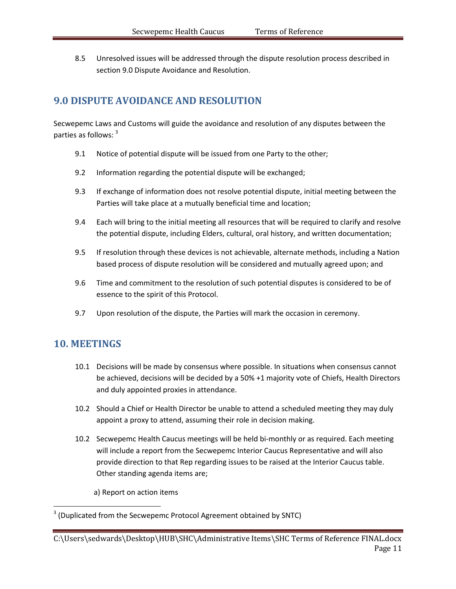8.5 Unresolved issues will be addressed through the dispute resolution process described in section 9.0 Dispute Avoidance and Resolution.

## <span id="page-11-0"></span>**9.0 DISPUTE AVOIDANCE AND RESOLUTION**

Secwepemc Laws and Customs will guide the avoidance and resolution of any disputes between the parties as follows: <sup>3</sup>

- 9.1 Notice of potential dispute will be issued from one Party to the other;
- 9.2 Information regarding the potential dispute will be exchanged;
- 9.3 If exchange of information does not resolve potential dispute, initial meeting between the Parties will take place at a mutually beneficial time and location;
- 9.4 Each will bring to the initial meeting all resources that will be required to clarify and resolve the potential dispute, including Elders, cultural, oral history, and written documentation;
- 9.5 If resolution through these devices is not achievable, alternate methods, including a Nation based process of dispute resolution will be considered and mutually agreed upon; and
- 9.6 Time and commitment to the resolution of such potential disputes is considered to be of essence to the spirit of this Protocol.
- 9.7 Upon resolution of the dispute, the Parties will mark the occasion in ceremony.

## <span id="page-11-1"></span>**10. MEETINGS**

l

- 10.1 Decisions will be made by consensus where possible. In situations when consensus cannot be achieved, decisions will be decided by a 50% +1 majority vote of Chiefs, Health Directors and duly appointed proxies in attendance.
- 10.2 Should a Chief or Health Director be unable to attend a scheduled meeting they may duly appoint a proxy to attend, assuming their role in decision making.
- 10.2 Secwepemc Health Caucus meetings will be held bi-monthly or as required. Each meeting will include a report from the Secwepemc Interior Caucus Representative and will also provide direction to that Rep regarding issues to be raised at the Interior Caucus table. Other standing agenda items are;

a) Report on action items

 $3$  (Duplicated from the Secwepemc Protocol Agreement obtained by SNTC)

C:\Users\sedwards\Desktop\HUB\SHC\Administrative Items\SHC Terms of Reference FINAL.docx Page 11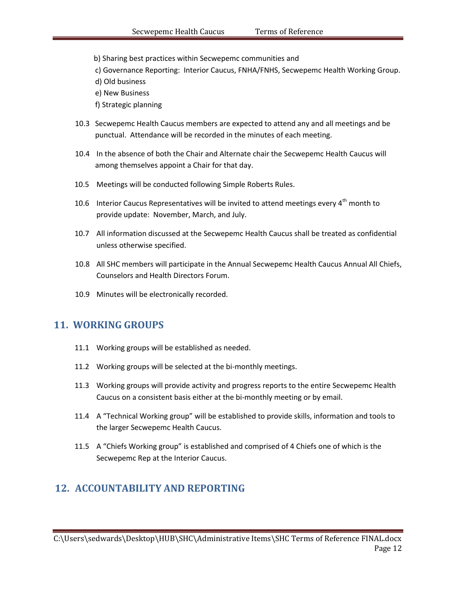b) Sharing best practices within Secwepemc communities and

c) Governance Reporting: Interior Caucus, FNHA/FNHS, Secwepemc Health Working Group.

- d) Old business
- e) New Business
- f) Strategic planning
- 10.3 Secwepemc Health Caucus members are expected to attend any and all meetings and be punctual. Attendance will be recorded in the minutes of each meeting.
- 10.4 In the absence of both the Chair and Alternate chair the Secwepemc Health Caucus will among themselves appoint a Chair for that day.
- 10.5 Meetings will be conducted following Simple Roberts Rules.
- 10.6 Interior Caucus Representatives will be invited to attend meetings every  $4^{th}$  month to provide update: November, March, and July.
- 10.7 All information discussed at the Secwepemc Health Caucus shall be treated as confidential unless otherwise specified.
- 10.8 All SHC members will participate in the Annual Secwepemc Health Caucus Annual All Chiefs, Counselors and Health Directors Forum.
- 10.9 Minutes will be electronically recorded.

## <span id="page-12-0"></span>**11. WORKING GROUPS**

- 11.1 Working groups will be established as needed.
- 11.2 Working groups will be selected at the bi-monthly meetings.
- 11.3 Working groups will provide activity and progress reports to the entire Secwepemc Health Caucus on a consistent basis either at the bi-monthly meeting or by email.
- 11.4 A "Technical Working group" will be established to provide skills, information and tools to the larger Secwepemc Health Caucus.
- 11.5 A "Chiefs Working group" is established and comprised of 4 Chiefs one of which is the Secwepemc Rep at the Interior Caucus.

## <span id="page-12-1"></span>**12. ACCOUNTABILITY AND REPORTING**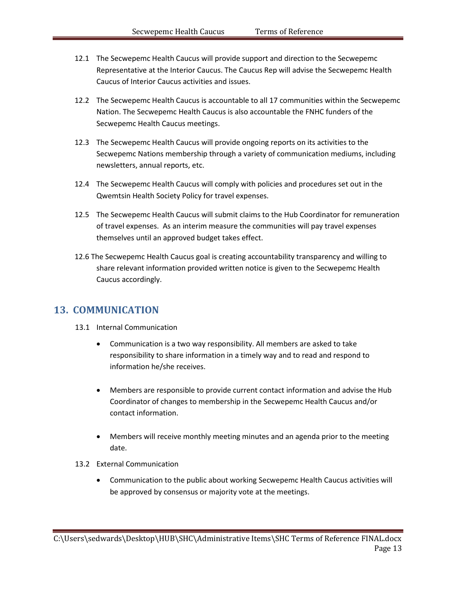- 12.1 The Secwepemc Health Caucus will provide support and direction to the Secwepemc Representative at the Interior Caucus. The Caucus Rep will advise the Secwepemc Health Caucus of Interior Caucus activities and issues.
- 12.2 The Secwepemc Health Caucus is accountable to all 17 communities within the Secwepemc Nation. The Secwepemc Health Caucus is also accountable the FNHC funders of the Secwepemc Health Caucus meetings.
- 12.3 The Secwepemc Health Caucus will provide ongoing reports on its activities to the Secwepemc Nations membership through a variety of communication mediums, including newsletters, annual reports, etc.
- 12.4 The Secwepemc Health Caucus will comply with policies and procedures set out in the Qwemtsin Health Society Policy for travel expenses.
- 12.5 The Secwepemc Health Caucus will submit claims to the Hub Coordinator for remuneration of travel expenses. As an interim measure the communities will pay travel expenses themselves until an approved budget takes effect.
- 12.6 The Secwepemc Health Caucus goal is creating accountability transparency and willing to share relevant information provided written notice is given to the Secwepemc Health Caucus accordingly.

## <span id="page-13-0"></span>**13. COMMUNICATION**

- 13.1 Internal Communication
	- Communication is a two way responsibility. All members are asked to take responsibility to share information in a timely way and to read and respond to information he/she receives.
	- Members are responsible to provide current contact information and advise the Hub Coordinator of changes to membership in the Secwepemc Health Caucus and/or contact information.
	- Members will receive monthly meeting minutes and an agenda prior to the meeting date.
- 13.2 External Communication
	- Communication to the public about working Secwepemc Health Caucus activities will be approved by consensus or majority vote at the meetings.